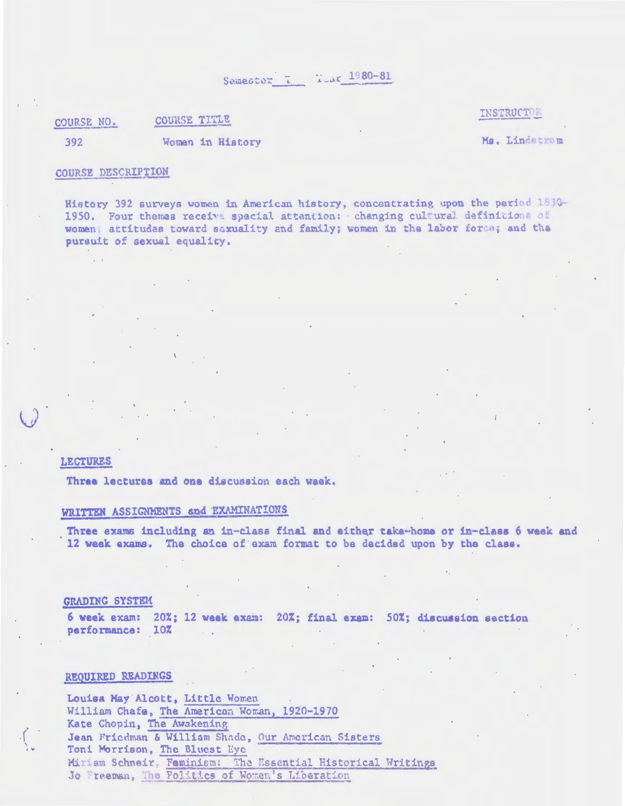Samester I War 1980-81

COURSE TITLE COURSE NO.

INSTRUCTOR

392

Woman in History

Ms. Lindstrom

## COURSE DESCRIPTION

History 392 surveys women in American history, concentrating upon the period 1830-1950. Four themes receive special attention: changing cultural definitions of women, attitudes toward saxuality and family; women in the labor force; and the pursuit of sexual equality.

**LECTURES** 

Three lectures and one discussion each waek.

## WRITTEN ASSIGNMENTS and EXAMINATIONS

Three exams including an in-class final and either take-home or in-class 6 week and 12 week exams. The choice of exam format to be decided upon by the class.

#### GRADING SYSTEM

6 week exam: 20%; 12 week exam: 20%; final exam: 50%; discussion section performance: 10% ... na k

### REQUIRED READINGS

Louisa May Alcott, Little Women William Chafe, The American Woman, 1920-1970 Kate Chopin, The Awakening Jean Friedman & William Shade, Our American Sisters Toni Morrison, The Bluest Eye Miriam Schneir, Feminism: The Essential Historical Writings Jo Freeman, The Politics of Women's Liberation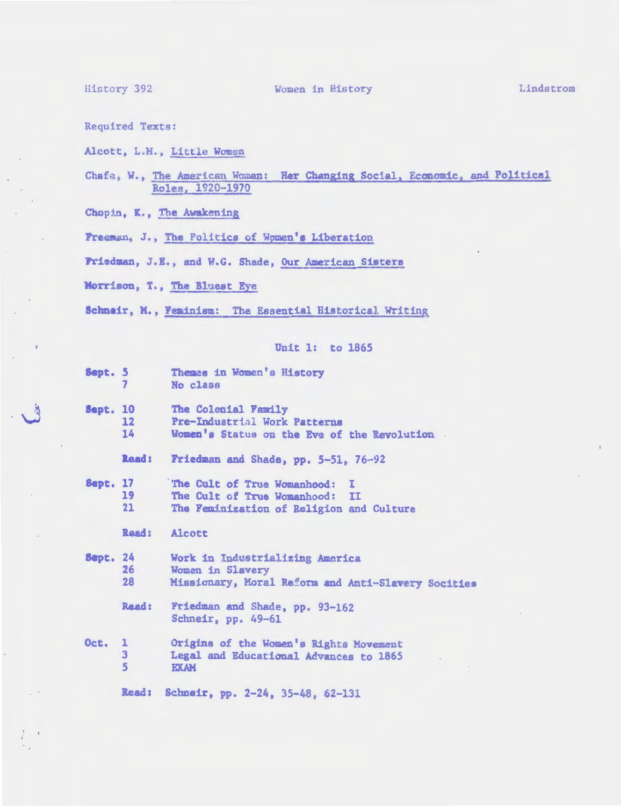**History 392** 

Women in History

Lindstrom

**Required Texts:** 

Alcott, L.M., Little Women

Chafe, W., The American Woman: Her Changing Social, Economic, and Political Roles, 1920-1970

Chopin, K., The Awakening

Freeman, J., The Politics of Women's Liberation

Friedman, J.E., and W.G. Shade, Our American Sisters

Morrison, T., The Bluest Eye

Schneir, M., Feminism: The Essential Historical Writing

#### Unit 1: to 1865

Sept. 5 Themas in Women's History  $\overline{7}$ No class **Sept. 10** The Colonial Family  $12 \overline{ }$ Pre-Industrial Work Patterns 14 Women's Status on the Eve of the Revolution.

> Friedman and Shade, pp. 5-51, 76-92 Read:

**Sept. 17** The Cult of True Womanhood: I 19 The Cult of True Womanhood: II  $21$ The Feminization of Religion and Culture

Read: Alcott

**Sept. 24** Work in Industrializing America 26 Women in Slavery 28 Missionary, Moral Reform and Anti-Slavery Socities

**Read:** Friedman and Shade, pp. 93-162 Schneir, pp. 49-61

Origins of the Women's Rights Movement **Oct. 1**  $\overline{3}$ Legal and Educational Advances to 1865  $5\phantom{.0}$ **EXAM** 

Read: Schneir, pp. 2-24, 35-48, 62-131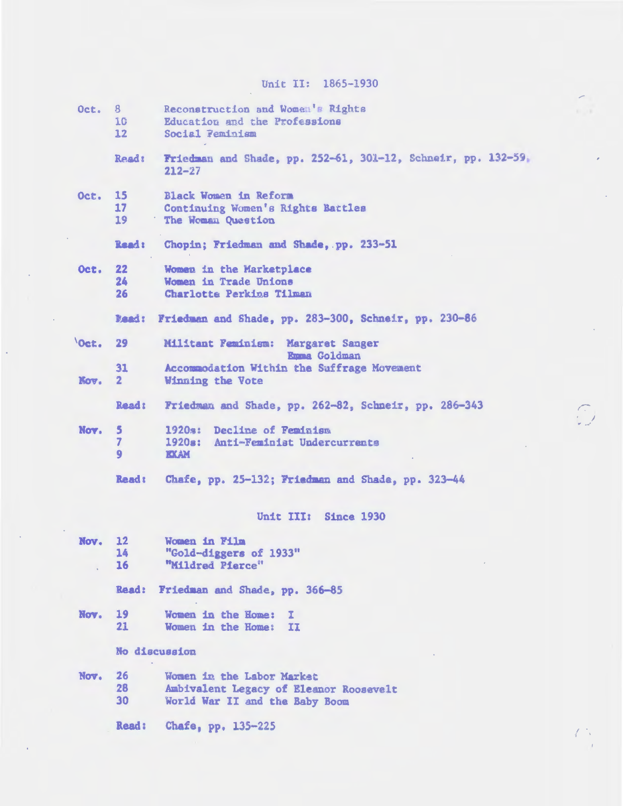# Unit II: 1865-1930

| Oct. 8 | 10<br>12 <sup>7</sup>         | Reconstruction and Women's Rights<br>Education and the Professions<br>Social Feminism                 |
|--------|-------------------------------|-------------------------------------------------------------------------------------------------------|
|        | Read:                         | Friedman and Shade, pp. 252-61, 301-12, Schneir, pp. 132-59,<br>$212 - 27$                            |
| Oct.   | <b>15</b><br>17<br>19         | Black Women in Reform<br>Continuing Women's Rights Battles<br>The Woman Question                      |
|        | Read:                         | Chopin; Friedman and Shade, pp. 233-51                                                                |
| Oct.   | 22<br>24<br>26                | Women in the Marketplace<br>Women in Trade Unions<br>Charlotte Perkins Tilman                         |
|        |                               | Esad: Friedman and Shade, pp. 283-300, Schneir, pp. 230-86                                            |
| 'Oct.  | 29                            | Militant Peminism: Margaret Sanger<br>Emma Goldman                                                    |
| Kov.   | 31<br>$\mathbf{2}$            | Accommodation Within the Suffrage Movement<br>Winning the Vote                                        |
|        | Read:                         | Friedman and Shade, pp. 262-82, Schneir, pp. 286-343                                                  |
| Nov.   | 5<br>$\overline{7}$<br>9      | Decline of Feminism<br>1920a:<br>Anti-Feminist Undercurrents<br>1920a:<br><b>KXAM</b>                 |
|        | Read:                         | Chafe, pp. 25-132; Friedman and Shade, pp. 323-44                                                     |
|        |                               | Unit III: Since 1930                                                                                  |
| Nov.   | $12 \overline{ }$<br>14<br>16 | Women in Film<br>"Gold-diggers of 1933"<br>"Mildred Pierce"                                           |
|        | Read:                         | Friedman and Shade, pp. 366-85                                                                        |
| Nov.   | 19<br>21                      | Women in the Home:<br>х.<br>Women in the Home: II                                                     |
|        |                               | No discussion                                                                                         |
| Nov.   | 26<br>28<br>30                | Women in the Labor Market<br>Ambivalent Legacy of Eleanor Roosevelt<br>World War II and the Baby Boom |
|        | <b>Read:</b>                  | Chafe, pp. 135-225                                                                                    |

 $\widehat{\mathbb{C}}$ 

 $\begin{pmatrix} 1 & 1 \\ 1 & 1 \end{pmatrix}$